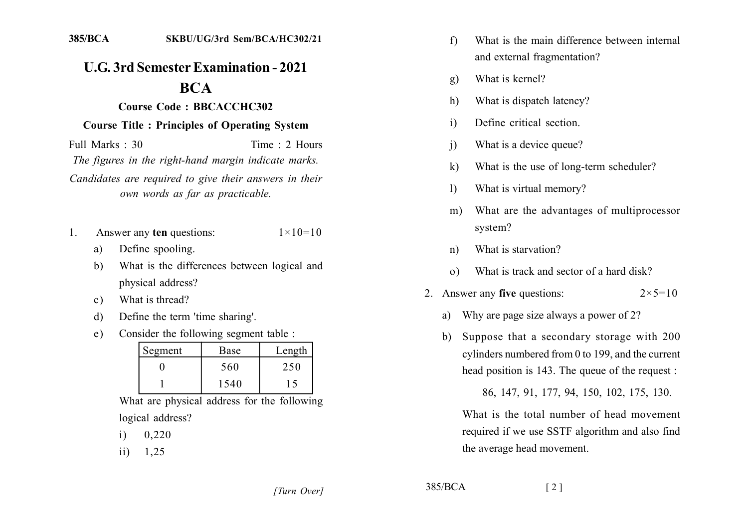## **U.G. 3rd Semester Examination - 2021 BCA**

## Course Code: BBCACCHC302

## **Course Title: Principles of Operating System**

Full Marks  $\cdot$  30 Time  $\cdot$  2 Hours

The figures in the right-hand margin indicate marks.

Candidates are required to give their answers in their own words as far as practicable.

- Answer any ten questions:  $\mathbf{1}$ .  $1 \times 10 = 10$ 
	- Define spooling. a)
	- What is the differences between logical and  $h)$ physical address?
	- What is thread?  $\mathbf{c}$ )
	- Define the term 'time sharing'.  $\mathbf{d}$
	- Consider the following segment table :  $e)$

| Segment | Base | Length                   |
|---------|------|--------------------------|
|         | 560  | 250                      |
|         | 1540 | $\overline{\phantom{a}}$ |

What are physical address for the following logical address?

- 0,220  $\mathbf{i}$
- 1.25  $\overline{11}$
- What is the main difference between internal  $f$ and external fragmentation?
- What is kernel?  $g)$
- What is dispatch latency? h)
- Define critical section.  $\mathbf{i}$
- What is a device queue?  $\overline{1}$
- $\bf k$ What is the use of long-term scheduler?
- What is virtual memory?  $\mathbf{D}$
- What are the advantages of multiprocessor  $m)$ system?
- What is starvation?  $n)$
- What is track and sector of a hard disk?  $\Omega$
- 2. Answer any five questions:  $2 \times 5 = 10$ 
	- Why are page size always a power of 2? a)
	- Suppose that a secondary storage with 200  $h$ cylinders numbered from 0 to 199, and the current head position is 143. The queue of the request :

86, 147, 91, 177, 94, 150, 102, 175, 130.

What is the total number of head movement required if we use SSTF algorithm and also find the average head movement.

 $385/BCA$